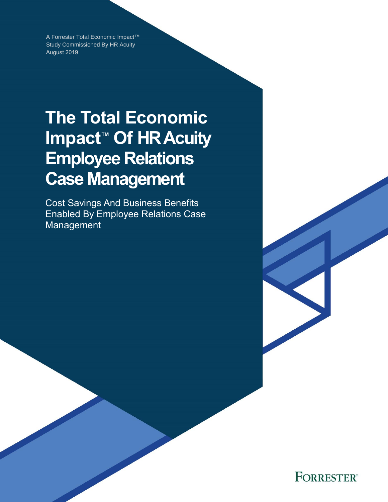A Forrester Total Economic Impact™ Study Commissioned By HR Acuity August 2019

# **The Total Economic Impact™ Of HR Acuity Employee Relations Case Management**

Cost Savings And Business Benefits Enabled By Employee Relations Case Management

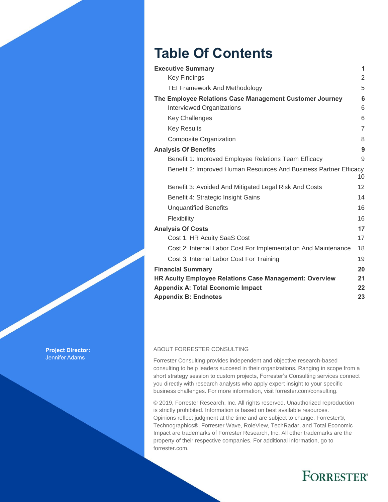# **Table Of Contents**

| <b>Executive Summary</b>                                          | 1               |
|-------------------------------------------------------------------|-----------------|
| <b>Key Findings</b>                                               | $\overline{2}$  |
| <b>TEI Framework And Methodology</b>                              | 5               |
| The Employee Relations Case Management Customer Journey           | $6\phantom{1}6$ |
| Interviewed Organizations                                         | 6               |
| <b>Key Challenges</b>                                             | 6               |
| <b>Key Results</b>                                                | $\overline{7}$  |
| <b>Composite Organization</b>                                     | 8               |
| <b>Analysis Of Benefits</b>                                       | 9               |
| Benefit 1: Improved Employee Relations Team Efficacy              | 9               |
| Benefit 2: Improved Human Resources And Business Partner Efficacy | 10              |
| Benefit 3: Avoided And Mitigated Legal Risk And Costs             | 12              |
| Benefit 4: Strategic Insight Gains                                | 14              |
| <b>Unquantified Benefits</b>                                      | 16              |
| Flexibility                                                       | 16              |
| <b>Analysis Of Costs</b>                                          | 17              |
| Cost 1: HR Acuity SaaS Cost                                       | 17              |
| Cost 2: Internal Labor Cost For Implementation And Maintenance    | 18              |
| Cost 3: Internal Labor Cost For Training                          | 19              |
| <b>Financial Summary</b>                                          | 20              |
| HR Acuity Employee Relations Case Management: Overview            | 21              |
| <b>Appendix A: Total Economic Impact</b>                          | 22              |
| <b>Appendix B: Endnotes</b>                                       | 23              |

#### ABOUT FORRESTER CONSULTING

Forrester Consulting provides independent and objective research-based consulting to help leaders succeed in their organizations. Ranging in scope from a short strategy session to custom projects, Forrester's Consulting services connect you directly with research analysts who apply expert insight to your specific business challenges. For more information, visit forrester.com/consulting.

© 2019, Forrester Research, Inc. All rights reserved. Unauthorized reproduction is strictly prohibited. Information is based on best available resources. Opinions reflect judgment at the time and are subject to change. Forrester®, Technographics®, Forrester Wave, RoleView, TechRadar, and Total Economic Impact are trademarks of Forrester Research, Inc. All other trademarks are the property of their respective companies. For additional information, go to forrester.com.

# **FORRESTER®**

**Project Director:** Jennifer Adams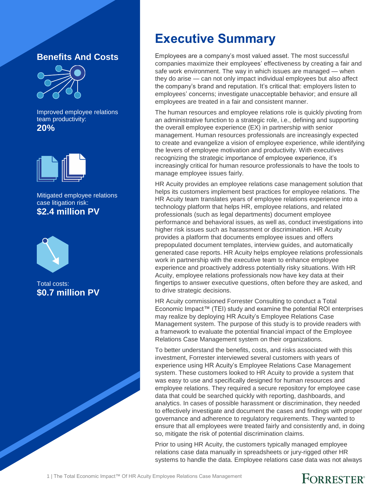#### **Benefits And Costs**



Improved employee relations team productivity: **20%**



Mitigated employee relations case litigation risk: **\$2.4 million PV**



Total costs: **\$0.7 million PV**

### **Executive Summary**

Employees are a company's most valued asset. The most successful companies maximize their employees' effectiveness by creating a fair and safe work environment. The way in which issues are managed — when they do arise — can not only impact individual employees but also affect the company's brand and reputation. It's critical that: employers listen to employees' concerns; investigate unacceptable behavior; and ensure all employees are treated in a fair and consistent manner.

The human resources and employee relations role is quickly pivoting from an administrative function to a strategic role, i.e., defining and supporting the overall employee experience (EX) in partnership with senior management. Human resources professionals are increasingly expected to create and evangelize a vision of employee experience, while identifying the levers of employee motivation and productivity. With executives recognizing the strategic importance of employee experience, it's increasingly critical for human resource professionals to have the tools to manage employee issues fairly.

HR Acuity provides an employee relations case management solution that helps its customers implement best practices for employee relations. The HR Acuity team translates years of employee relations experience into a technology platform that helps HR, employee relations, and related professionals (such as legal departments) document employee performance and behavioral issues, as well as, conduct investigations into higher risk issues such as harassment or discrimination. HR Acuity provides a platform that documents employee issues and offers prepopulated document templates, interview guides, and automatically generated case reports. HR Acuity helps employee relations professionals work in partnership with the executive team to enhance employee experience and proactively address potentially risky situations. With HR Acuity, employee relations professionals now have key data at their fingertips to answer executive questions, often before they are asked, and to drive strategic decisions.

HR Acuity commissioned Forrester Consulting to conduct a Total Economic Impact™ (TEI) study and examine the potential ROI enterprises may realize by deploying HR Acuity's Employee Relations Case Management system. The purpose of this study is to provide readers with a framework to evaluate the potential financial impact of the Employee Relations Case Management system on their organizations.

To better understand the benefits, costs, and risks associated with this investment, Forrester interviewed several customers with years of experience using HR Acuity's Employee Relations Case Management system. These customers looked to HR Acuity to provide a system that was easy to use and specifically designed for human resources and employee relations. They required a secure repository for employee case data that could be searched quickly with reporting, dashboards, and analytics. In cases of possible harassment or discrimination, they needed to effectively investigate and document the cases and findings with proper governance and adherence to regulatory requirements. They wanted to ensure that all employees were treated fairly and consistently and, in doing so, mitigate the risk of potential discrimination claims.

Prior to using HR Acuity, the customers typically managed employee relations case data manually in spreadsheets or jury-rigged other HR systems to handle the data. Employee relations case data was not always

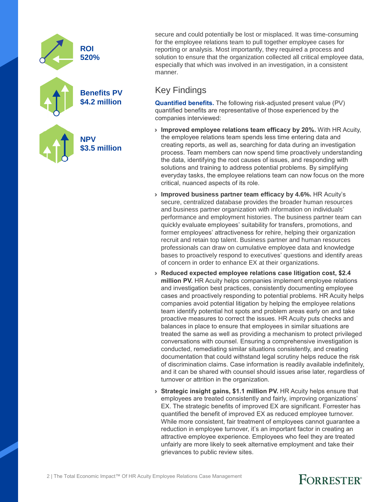

secure and could potentially be lost or misplaced. It was time-consuming for the employee relations team to pull together employee cases for reporting or analysis. Most importantly, they required a process and solution to ensure that the organization collected all critical employee data, especially that which was involved in an investigation, in a consistent manner.

#### Key Findings

**Quantified benefits.** The following risk-adjusted present value (PV) quantified benefits are representative of those experienced by the companies interviewed:

- › **Improved employee relations team efficacy by 20%.** With HR Acuity, the employee relations team spends less time entering data and creating reports, as well as, searching for data during an investigation process. Team members can now spend time proactively understanding the data, identifying the root causes of issues, and responding with solutions and training to address potential problems. By simplifying everyday tasks, the employee relations team can now focus on the more critical, nuanced aspects of its role.
- › **Improved business partner team efficacy by 4.6%.** HR Acuity's secure, centralized database provides the broader human resources and business partner organization with information on individuals' performance and employment histories. The business partner team can quickly evaluate employees' suitability for transfers, promotions, and former employees' attractiveness for rehire, helping their organization recruit and retain top talent. Business partner and human resources professionals can draw on cumulative employee data and knowledge bases to proactively respond to executives' questions and identify areas of concern in order to enhance EX at their organizations.
- › **Reduced expected employee relations case litigation cost, \$2.4 million PV.** HR Acuity helps companies implement employee relations and investigation best practices, consistently documenting employee cases and proactively responding to potential problems. HR Acuity helps companies avoid potential litigation by helping the employee relations team identify potential hot spots and problem areas early on and take proactive measures to correct the issues. HR Acuity puts checks and balances in place to ensure that employees in similar situations are treated the same as well as providing a mechanism to protect privileged conversations with counsel. Ensuring a comprehensive investigation is conducted, remediating similar situations consistently, and creating documentation that could withstand legal scrutiny helps reduce the risk of discrimination claims. Case information is readily available indefinitely, and it can be shared with counsel should issues arise later, regardless of turnover or attrition in the organization.
- › **Strategic insight gains, \$1.1 million PV.** HR Acuity helps ensure that employees are treated consistently and fairly, improving organizations' EX. The strategic benefits of improved EX are significant. Forrester has quantified the benefit of improved EX as reduced employee turnover. While more consistent, fair treatment of employees cannot guarantee a reduction in employee turnover, it's an important factor in creating an attractive employee experience. Employees who feel they are treated unfairly are more likely to seek alternative employment and take their grievances to public review sites.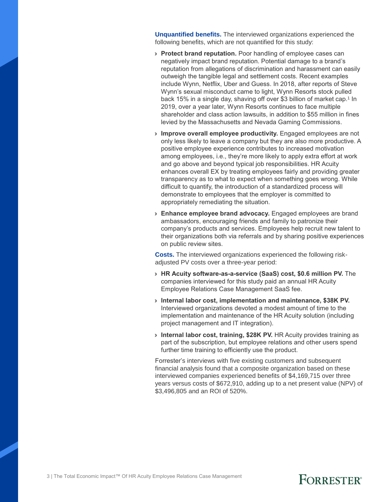**Unquantified benefits.** The interviewed organizations experienced the following benefits, which are not quantified for this study:

- › **Protect brand reputation.** Poor handling of employee cases can negatively impact brand reputation. Potential damage to a brand's reputation from allegations of discrimination and harassment can easily outweigh the tangible legal and settlement costs. Recent examples include Wynn, Netflix, Uber and Guess. In 2018, after reports of Steve Wynn's sexual misconduct came to light, Wynn Resorts stock pulled back 15% in a single day, shaving off over \$3 billion of market cap.<sup>1</sup> In 2019, over a year later, Wynn Resorts continues to face multiple shareholder and class action lawsuits, in addition to \$55 million in fines levied by the Massachusetts and Nevada Gaming Commissions.
- › **Improve overall employee productivity.** Engaged employees are not only less likely to leave a company but they are also more productive. A positive employee experience contributes to increased motivation among employees, i.e., they're more likely to apply extra effort at work and go above and beyond typical job responsibilities. HR Acuity enhances overall EX by treating employees fairly and providing greater transparency as to what to expect when something goes wrong. While difficult to quantify, the introduction of a standardized process will demonstrate to employees that the employer is committed to appropriately remediating the situation.
- › **Enhance employee brand advocacy.** Engaged employees are brand ambassadors, encouraging friends and family to patronize their company's products and services. Employees help recruit new talent to their organizations both via referrals and by sharing positive experiences on public review sites.

**Costs.** The interviewed organizations experienced the following riskadjusted PV costs over a three-year period:

- › **HR Acuity software-as-a-service (SaaS) cost, \$0.6 million PV.** The companies interviewed for this study paid an annual HR Acuity Employee Relations Case Management SaaS fee.
- › **Internal labor cost, implementation and maintenance, \$38K PV.** Interviewed organizations devoted a modest amount of time to the implementation and maintenance of the HR Acuity solution (including project management and IT integration).
- › **Internal labor cost, training, \$28K PV.** HR Acuity provides training as part of the subscription, but employee relations and other users spend further time training to efficiently use the product.

Forrester's interviews with five existing customers and subsequent financial analysis found that a composite organization based on these interviewed companies experienced benefits of \$4,169,715 over three years versus costs of \$672,910, adding up to a net present value (NPV) of \$3,496,805 and an ROI of 520%.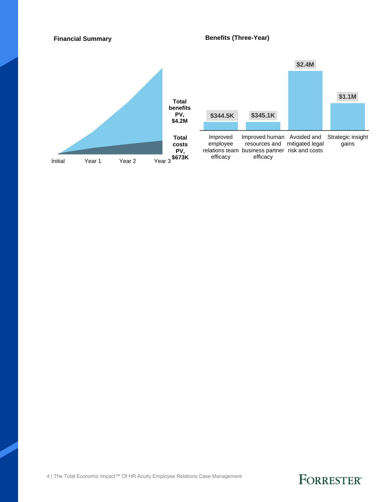#### **Financial Summary**

#### **Benefits (Three-Year)**



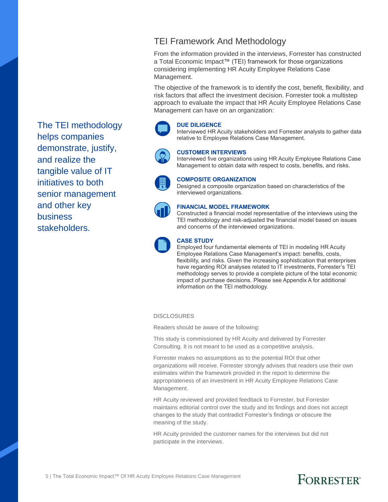#### TEI Framework And Methodology

From the information provided in the interviews, Forrester has constructed a Total Economic Impact™ (TEI) framework for those organizations considering implementing HR Acuity Employee Relations Case Management.

The objective of the framework is to identify the cost, benefit, flexibility, and risk factors that affect the investment decision. Forrester took a multistep approach to evaluate the impact that HR Acuity Employee Relations Case Management can have on an organization:

#### **DUE DILIGENCE**

Interviewed HR Acuity stakeholders and Forrester analysts to gather data relative to Employee Relations Case Management.



#### **CUSTOMER INTERVIEWS**

Interviewed five organizations using HR Acuity Employee Relations Case Management to obtain data with respect to costs, benefits, and risks.



#### **COMPOSITE ORGANIZATION**

Designed a composite organization based on characteristics of the interviewed organizations.



#### **FINANCIAL MODEL FRAMEWORK**

Constructed a financial model representative of the interviews using the TEI methodology and risk-adjusted the financial model based on issues and concerns of the interviewed organizations.



#### **CASE STUDY**

Employed four fundamental elements of TEI in modeling HR Acuity Employee Relations Case Management's impact: benefits, costs, flexibility, and risks. Given the increasing sophistication that enterprises have regarding ROI analyses related to IT investments, Forrester's TEI methodology serves to provide a complete picture of the total economic impact of purchase decisions. Please see Appendix A for additional information on the TEI methodology.

#### **DISCLOSURES**

Readers should be aware of the following:

This study is commissioned by HR Acuity and delivered by Forrester Consulting. It is not meant to be used as a competitive analysis.

Forrester makes no assumptions as to the potential ROI that other organizations will receive. Forrester strongly advises that readers use their own estimates within the framework provided in the report to determine the appropriateness of an investment in HR Acuity Employee Relations Case Management.

HR Acuity reviewed and provided feedback to Forrester, but Forrester maintains editorial control over the study and its findings and does not accept changes to the study that contradict Forrester's findings or obscure the meaning of the study.

HR Acuity provided the customer names for the interviews but did not participate in the interviews.

The TEI methodology helps companies demonstrate, justify, and realize the tangible value of IT initiatives to both senior management and other key business stakeholders.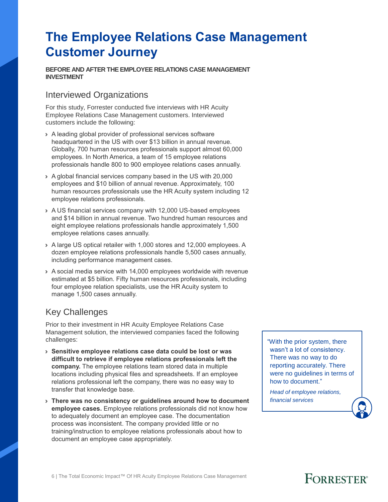# **The Employee Relations Case Management Customer Journey**

**BEFORE AND AFTER THEEMPLOYEE RELATIONS CASE MANAGEMENT INVESTMENT**

#### Interviewed Organizations

For this study, Forrester conducted five interviews with HR Acuity Employee Relations Case Management customers. Interviewed customers include the following:

- › A leading global provider of professional services software headquartered in the US with over \$13 billion in annual revenue. Globally, 700 human resources professionals support almost 60,000 employees. In North America, a team of 15 employee relations professionals handle 800 to 900 employee relations cases annually.
- › A global financial services company based in the US with 20,000 employees and \$10 billion of annual revenue. Approximately, 100 human resources professionals use the HR Acuity system including 12 employee relations professionals.
- › A US financial services company with 12,000 US-based employees and \$14 billion in annual revenue. Two hundred human resources and eight employee relations professionals handle approximately 1,500 employee relations cases annually.
- › A large US optical retailer with 1,000 stores and 12,000 employees. A dozen employee relations professionals handle 5,500 cases annually, including performance management cases.
- › A social media service with 14,000 employees worldwide with revenue estimated at \$5 billion. Fifty human resources professionals, including four employee relation specialists, use the HR Acuity system to manage 1,500 cases annually.

### Key Challenges

Prior to their investment in HR Acuity Employee Relations Case Management solution, the interviewed companies faced the following challenges:

- › **Sensitive employee relations case data could be lost or was difficult to retrieve if employee relations professionals left the company.** The employee relations team stored data in multiple locations including physical files and spreadsheets. If an employee relations professional left the company, there was no easy way to transfer that knowledge base.
- › **There was no consistency or guidelines around how to document employee cases.** Employee relations professionals did not know how to adequately document an employee case. The documentation process was inconsistent. The company provided little or no training/instruction to employee relations professionals about how to document an employee case appropriately.

"With the prior system, there wasn't a lot of consistency. There was no way to do reporting accurately. There were no guidelines in terms of how to document."

*Head of employee relations, financial services*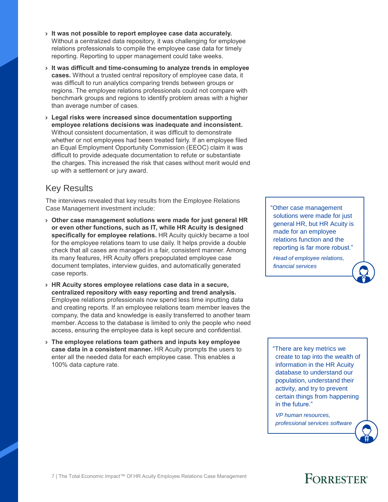- › **It was not possible to report employee case data accurately.**  Without a centralized data repository, it was challenging for employee relations professionals to compile the employee case data for timely reporting. Reporting to upper management could take weeks.
- › **It was difficult and time-consuming to analyze trends in employee cases.** Without a trusted central repository of employee case data, it was difficult to run analytics comparing trends between groups or regions. The employee relations professionals could not compare with benchmark groups and regions to identify problem areas with a higher than average number of cases.
- › **Legal risks were increased since documentation supporting employee relations decisions was inadequate and inconsistent.** Without consistent documentation, it was difficult to demonstrate whether or not employees had been treated fairly. If an employee filed an Equal Employment Opportunity Commission (EEOC) claim it was difficult to provide adequate documentation to refute or substantiate the charges. This increased the risk that cases without merit would end up with a settlement or jury award.

### Key Results

The interviews revealed that key results from the Employee Relations Case Management investment include:

- › **Other case management solutions were made for just general HR or even other functions, such as IT, while HR Acuity is designed specifically for employee relations.** HR Acuity quickly became a tool for the employee relations team to use daily. It helps provide a double check that all cases are managed in a fair, consistent manner. Among its many features, HR Acuity offers prepopulated employee case document templates, interview guides, and automatically generated case reports.
- › **HR Acuity stores employee relations case data in a secure, centralized repository with easy reporting and trend analysis.**  Employee relations professionals now spend less time inputting data and creating reports. If an employee relations team member leaves the company, the data and knowledge is easily transferred to another team member. Access to the database is limited to only the people who need access, ensuring the employee data is kept secure and confidential.
- › **The employee relations team gathers and inputs key employee case data in a consistent manner.** HR Acuity prompts the users to enter all the needed data for each employee case. This enables a 100% data capture rate.

"Other case management solutions were made for just general HR, but HR Acuity is made for an employee relations function and the reporting is far more robust."

*Head of employee relations, financial services*

"There are key metrics we create to tap into the wealth of information in the HR Acuity database to understand our population, understand their activity, and try to prevent certain things from happening in the future."

*VP human resources, professional services software*

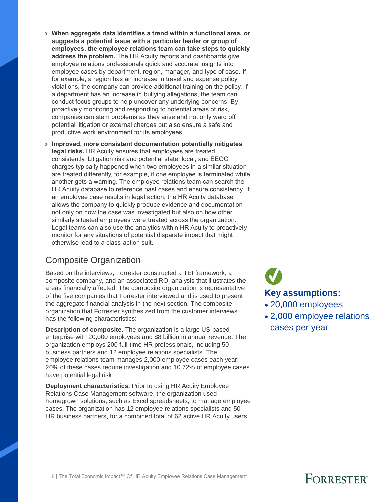- › **When aggregate data identifies a trend within a functional area, or suggests a potential issue with a particular leader or group of employees, the employee relations team can take steps to quickly address the problem.** The HR Acuity reports and dashboards give employee relations professionals quick and accurate insights into employee cases by department, region, manager, and type of case. If, for example, a region has an increase in travel and expense policy violations, the company can provide additional training on the policy. If a department has an increase in bullying allegations, the team can conduct focus groups to help uncover any underlying concerns. By proactively monitoring and responding to potential areas of risk, companies can stem problems as they arise and not only ward off potential litigation or external charges but also ensure a safe and productive work environment for its employees.
- › **Improved, more consistent documentation potentially mitigates legal risks.** HR Acuity ensures that employees are treated consistently. Litigation risk and potential state, local, and EEOC charges typically happened when two employees in a similar situation are treated differently, for example, if one employee is terminated while another gets a warning. The employee relations team can search the HR Acuity database to reference past cases and ensure consistency. If an employee case results in legal action, the HR Acuity database allows the company to quickly produce evidence and documentation not only on how the case was investigated but also on how other similarly situated employees were treated across the organization. Legal teams can also use the analytics within HR Acuity to proactively monitor for any situations of potential disparate impact that might otherwise lead to a class-action suit.

#### Composite Organization

Based on the interviews, Forrester constructed a TEI framework, a composite company, and an associated ROI analysis that illustrates the areas financially affected. The composite organization is representative of the five companies that Forrester interviewed and is used to present the aggregate financial analysis in the next section. The composite organization that Forrester synthesized from the customer interviews has the following characteristics:

**Description of composite**. The organization is a large US-based enterprise with 20,000 employees and \$8 billion in annual revenue. The organization employs 200 full-time HR professionals, including 50 business partners and 12 employee relations specialists. The employee relations team manages 2,000 employee cases each year; 20% of these cases require investigation and 10.72% of employee cases have potential legal risk.

**Deployment characteristics.** Prior to using HR Acuity Employee Relations Case Management software, the organization used homegrown solutions, such as Excel spreadsheets, to manage employee cases. The organization has 12 employee relations specialists and 50 HR business partners, for a combined total of 62 active HR Acuity users.

# **Key assumptions:**

- 20,000 employees
- 2,000 employee relations cases per year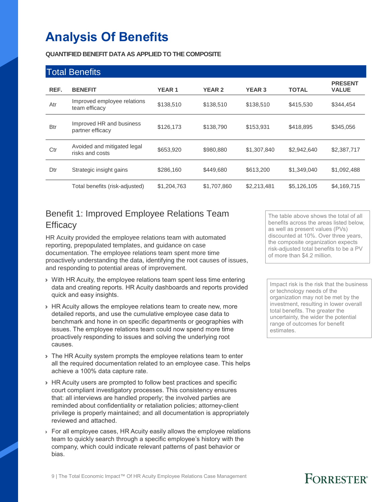# **Analysis Of Benefits**

**QUANTIFIED BENEFIT DATA AS APPLIED TO THE COMPOSITE**

|            | <b>Total Benefits</b>                          |              |               |               |              |                                |
|------------|------------------------------------------------|--------------|---------------|---------------|--------------|--------------------------------|
| REF.       | <b>BENEFIT</b>                                 | <b>YEAR1</b> | <b>YEAR 2</b> | <b>YEAR 3</b> | <b>TOTAL</b> | <b>PRESENT</b><br><b>VALUE</b> |
| Atr        | Improved employee relations<br>team efficacy   | \$138.510    | \$138,510     | \$138,510     | \$415,530    | \$344,454                      |
| <b>Btr</b> | Improved HR and business<br>partner efficacy   | \$126,173    | \$138,790     | \$153,931     | \$418,895    | \$345,056                      |
| Ctr        | Avoided and mitigated legal<br>risks and costs | \$653,920    | \$980,880     | \$1,307,840   | \$2,942,640  | \$2,387,717                    |
| Dtr        | Strategic insight gains                        | \$286,160    | \$449,680     | \$613,200     | \$1,349,040  | \$1,092,488                    |
|            | Total benefits (risk-adjusted)                 | \$1,204,763  | \$1,707,860   | \$2,213,481   | \$5,126,105  | \$4,169,715                    |

### Benefit 1: Improved Employee Relations Team **Efficacy**

HR Acuity provided the employee relations team with automated reporting, prepopulated templates, and guidance on case documentation. The employee relations team spent more time proactively understanding the data, identifying the root causes of issues, and responding to potential areas of improvement.

- › With HR Acuity, the employee relations team spent less time entering data and creating reports. HR Acuity dashboards and reports provided quick and easy insights.
- › HR Acuity allows the employee relations team to create new, more detailed reports, and use the cumulative employee case data to benchmark and hone in on specific departments or geographies with issues. The employee relations team could now spend more time proactively responding to issues and solving the underlying root causes.
- › The HR Acuity system prompts the employee relations team to enter all the required documentation related to an employee case. This helps achieve a 100% data capture rate.
- › HR Acuity users are prompted to follow best practices and specific court compliant investigatory processes. This consistency ensures that: all interviews are handled properly; the involved parties are reminded about confidentiality or retaliation policies; attorney-client privilege is properly maintained; and all documentation is appropriately reviewed and attached.
- › For all employee cases, HR Acuity easily allows the employee relations team to quickly search through a specific employee's history with the company, which could indicate relevant patterns of past behavior or bias.

The table above shows the total of all benefits across the areas listed below, as well as present values (PVs) discounted at 10%. Over three years, the composite organization expects risk-adjusted total benefits to be a PV of more than \$4.2 million.

Impact risk is the risk that the business or technology needs of the organization may not be met by the investment, resulting in lower overall total benefits. The greater the uncertainty, the wider the potential range of outcomes for benefit estimates.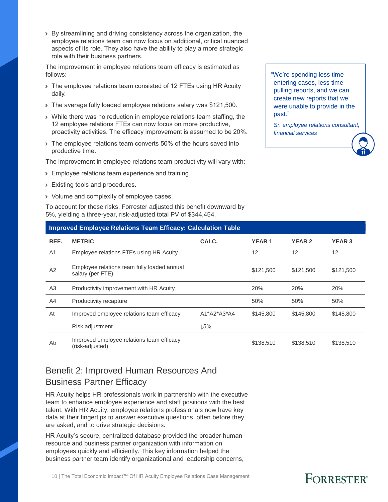› By streamlining and driving consistency across the organization, the employee relations team can now focus on additional, critical nuanced aspects of its role. They also have the ability to play a more strategic role with their business partners.

The improvement in employee relations team efficacy is estimated as follows:

- › The employee relations team consisted of 12 FTEs using HR Acuity daily.
- › The average fully loaded employee relations salary was \$121,500.
- › While there was no reduction in employee relations team staffing, the 12 employee relations FTEs can now focus on more productive, proactivity activities. The efficacy improvement is assumed to be 20%.
- › The employee relations team converts 50% of the hours saved into productive time.

The improvement in employee relations team productivity will vary with:

- › Employee relations team experience and training.
- › Existing tools and procedures.
- › Volume and complexity of employee cases.

To account for these risks, Forrester adjusted this benefit downward by 5%, yielding a three-year, risk-adjusted total PV of \$344,454.

### **Improved Employee Relations Team Efficacy: Calculation Table REF. METRIC CALC. YEAR 1 YEAR 2 YEAR 3** A1 Employee relations FTEs using HR Acuity 12 12 12 12 12 A2 Employee relations team fully loaded annual<br>salary (per FTE) employee relations team runy loaded annual team of the state of \$121,500 \$121,500 \$121,500 \$121,500 \$121,500 \$121,500 \$121,500 \$121,500 \$121,500 \$121,500 \$121,500 \$121,500 \$121,500 \$121,500 \$121,500 \$121,500 \$121,500 \$121, A3 Productivity improvement with HR Acuity 2004 20% 20% 20% 20% A4 Productivity recapture 50% 50% 50% At Improved employee relations team efficacy  $A^*A2^*A3^*A4$  \$145,800 \$145,800 \$145,800 Risk adjustment  $\qquad \qquad \downarrow 5\%$

Atr Improved employee relations team efficacy<br>
(risk-adjusted) mproved employee relations team emcacy is a second to the \$138,510 \$138,510 \$138,510 \$138,510 \$138,510 \$138,510

### Benefit 2: Improved Human Resources And Business Partner Efficacy

HR Acuity helps HR professionals work in partnership with the executive team to enhance employee experience and staff positions with the best talent. With HR Acuity, employee relations professionals now have key data at their fingertips to answer executive questions, often before they are asked, and to drive strategic decisions.

HR Acuity's secure, centralized database provided the broader human resource and business partner organization with information on employees quickly and efficiently. This key information helped the business partner team identify organizational and leadership concerns,

10 | The Total Economic Impact™ Of HR Acuity Employee Relations Case Management

"We're spending less time entering cases, less time pulling reports, and we can create new reports that we were unable to provide in the past."

*Sr. employee relations consultant, financial services*

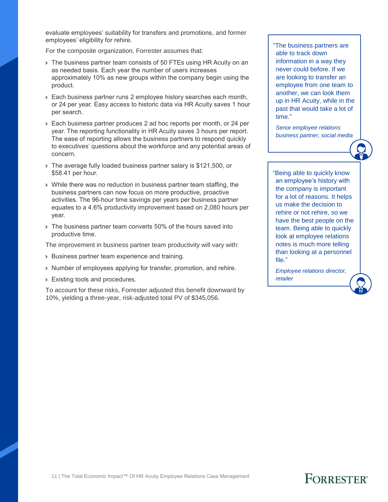evaluate employees' suitability for transfers and promotions, and former employees' eligibility for rehire.

For the composite organization, Forrester assumes that:

- > The business partner team consists of 50 FTEs using HR Acuity on an as needed basis. Each year the number of users increases approximately 10% as new groups within the company begin using the product.
- › Each business partner runs 2 employee history searches each month, or 24 per year. Easy access to historic data via HR Acuity saves 1 hour per search.
- › Each business partner produces 2 ad hoc reports per month, or 24 per year. The reporting functionality in HR Acuity saves 3 hours per report. The ease of reporting allows the business partners to respond quickly to executives' questions about the workforce and any potential areas of concern.
- › The average fully loaded business partner salary is \$121,500, or \$58.41 per hour.
- › While there was no reduction in business partner team staffing, the business partners can now focus on more productive, proactive activities. The 96-hour time savings per years per business partner equates to a 4.6% productivity improvement based on 2,080 hours per year.
- › The business partner team converts 50% of the hours saved into productive time.

The improvement in business partner team productivity will vary with:

- › Business partner team experience and training.
- › Number of employees applying for transfer, promotion, and rehire.
- › Existing tools and procedures.

To account for these risks, Forrester adjusted this benefit downward by 10%, yielding a three-year, risk-adjusted total PV of \$345,056.

"The business partners are able to track down information in a way they never could before. If we are looking to transfer an employee from one team to another, we can look them up in HR Acuity, while in the past that would take a lot of time."

*Senor employee relations business partner, social media*

"Being able to quickly know an employee's history with the company is important for a lot of reasons. It helps us make the decision to rehire or not rehire, so we have the best people on the team. Being able to quickly look at employee relations notes is much more telling than looking at a personnel file."

*Employee relations director, retailer*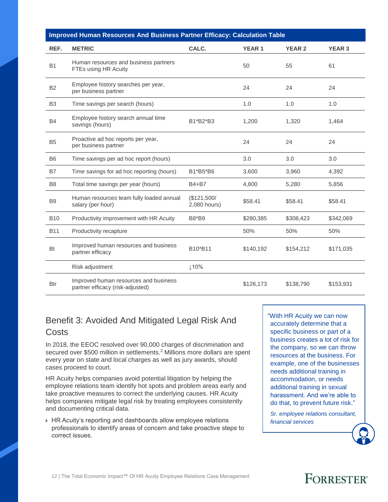|                | Improved Human Resources And Business Partner Efficacy: Calculation Table |                             |              |               |               |  |  |  |
|----------------|---------------------------------------------------------------------------|-----------------------------|--------------|---------------|---------------|--|--|--|
| REF.           | <b>METRIC</b>                                                             | CALC.                       | <b>YEAR1</b> | <b>YEAR 2</b> | <b>YEAR 3</b> |  |  |  |
| <b>B1</b>      | Human resources and business partners<br>FTEs using HR Acuity             |                             | 50           | 55            | 61            |  |  |  |
| <b>B2</b>      | Employee history searches per year,<br>per business partner               |                             | 24           | 24            | 24            |  |  |  |
| B <sub>3</sub> | Time savings per search (hours)                                           |                             | 1.0          | 1.0           | 1.0           |  |  |  |
| <b>B4</b>      | Employee history search annual time<br>savings (hours)                    | B1*B2*B3                    | 1,200        | 1,320         | 1,464         |  |  |  |
| B <sub>5</sub> | Proactive ad hoc reports per year,<br>per business partner                |                             | 24           | 24            | 24            |  |  |  |
| <b>B6</b>      | Time savings per ad hoc report (hours)                                    |                             | 3.0          | 3.0           | 3.0           |  |  |  |
| <b>B7</b>      | Time savings for ad hoc reporting (hours)                                 | B1*B5*B6                    | 3,600        | 3,960         | 4,392         |  |  |  |
| B <sub>8</sub> | Total time savings per year (hours)                                       | B4+B7                       | 4,800        | 5,280         | 5,856         |  |  |  |
| B <sub>9</sub> | Human resources team fully loaded annual<br>salary (per hour)             | (\$121,500/<br>2,080 hours) | \$58.41      | \$58.41       | \$58.41       |  |  |  |
| <b>B10</b>     | Productivity improvement with HR Acuity                                   | B8*B9                       | \$280,385    | \$308,423     | \$342,069     |  |  |  |
| <b>B11</b>     | Productivity recapture                                                    |                             | 50%          | 50%           | 50%           |  |  |  |
| Bt             | Improved human resources and business<br>partner efficacy                 | B10*B11                     | \$140.192    | \$154,212     | \$171,035     |  |  |  |
|                | Risk adjustment                                                           | ↓10%                        |              |               |               |  |  |  |
| Btr            | Improved human resources and business<br>partner efficacy (risk-adjusted) |                             | \$126,173    | \$138,790     | \$153,931     |  |  |  |

### Benefit 3: Avoided And Mitigated Legal Risk And **Costs**

In 2018, the EEOC resolved over 90,000 charges of discrimination and secured over \$500 million in settlements.<sup>2</sup> Millions more dollars are spent every year on state and local charges as well as jury awards, should cases proceed to court.

HR Acuity helps companies avoid potential litigation by helping the employee relations team identify hot spots and problem areas early and take proactive measures to correct the underlying causes. HR Acuity helps companies mitigate legal risk by treating employees consistently and documenting critical data.

› HR Acuity's reporting and dashboards allow employee relations professionals to identify areas of concern and take proactive steps to correct issues.

"With HR Acuity we can now accurately determine that a specific business or part of a business creates a lot of risk for the company, so we can throw resources at the business. For example, one of the businesses needs additional training in accommodation, or needs additional training in sexual harassment. And we're able to do that, to prevent future risk."

*Sr. employee relations consultant, financial services*

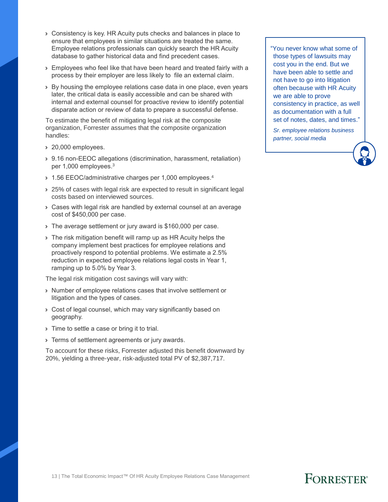- › Consistency is key. HR Acuity puts checks and balances in place to ensure that employees in similar situations are treated the same. Employee relations professionals can quickly search the HR Acuity database to gather historical data and find precedent cases.
- › Employees who feel like that have been heard and treated fairly with a process by their employer are less likely to file an external claim.
- › By housing the employee relations case data in one place, even years later, the critical data is easily accessible and can be shared with internal and external counsel for proactive review to identify potential disparate action or review of data to prepare a successful defense.

To estimate the benefit of mitigating legal risk at the composite organization, Forrester assumes that the composite organization handles:

- › 20,000 employees.
- › 9.16 non-EEOC allegations (discrimination, harassment, retaliation) per 1,000 employees.<sup>3</sup>
- 1.56 EEOC/administrative charges per 1,000 employees.<sup>4</sup>
- › 25% of cases with legal risk are expected to result in significant legal costs based on interviewed sources.
- › Cases with legal risk are handled by external counsel at an average cost of \$450,000 per case.
- › The average settlement or jury award is \$160,000 per case.
- › The risk mitigation benefit will ramp up as HR Acuity helps the company implement best practices for employee relations and proactively respond to potential problems. We estimate a 2.5% reduction in expected employee relations legal costs in Year 1, ramping up to 5.0% by Year 3.

The legal risk mitigation cost savings will vary with:

- › Number of employee relations cases that involve settlement or litigation and the types of cases.
- › Cost of legal counsel, which may vary significantly based on geography.
- If Time to settle a case or bring it to trial.
- **>** Terms of settlement agreements or jury awards.

To account for these risks, Forrester adjusted this benefit downward by 20%, yielding a three-year, risk-adjusted total PV of \$2,387,717.

"You never know what some of those types of lawsuits may cost you in the end. But we have been able to settle and not have to go into litigation often because with HR Acuity we are able to prove consistency in practice, as well as documentation with a full set of notes, dates, and times."

*Sr. employee relations business partner, social media*

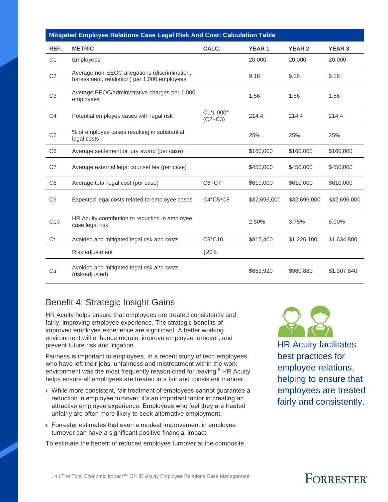|                | Mitigated Employee Relations Case Legal Risk And Cost: Calculation Table                      |                            |              |               |               |  |  |
|----------------|-----------------------------------------------------------------------------------------------|----------------------------|--------------|---------------|---------------|--|--|
| REF.           | <b>METRIC</b>                                                                                 | CALC.                      | <b>YEAR1</b> | <b>YEAR 2</b> | <b>YEAR 3</b> |  |  |
| C <sub>1</sub> | Employees                                                                                     |                            | 20,000       | 20,000        | 20,000        |  |  |
| C <sub>2</sub> | Average non-EEOC allegations (discrimination,<br>harassment, retaliation) per 1,000 employees |                            | 9.16         | 9.16          | 9.16          |  |  |
| C <sub>3</sub> | Average EEOC/administrative charges per 1,000<br>employees                                    |                            | 1.56         | 1.56          | 1.56          |  |  |
| C <sub>4</sub> | Potential employee cases with legal risk                                                      | $C1/1,000*$<br>$(C2 + C3)$ | 214.4        | 214.4         | 214.4         |  |  |
| C <sub>5</sub> | % of employee cases resulting in substantial<br>legal costs                                   |                            | 25%          | 25%           | 25%           |  |  |
| C <sub>6</sub> | Average settlement or jury award (per case)                                                   |                            | \$160,000    | \$160,000     | \$160,000     |  |  |
| C7             | Average external legal counsel fee (per case)                                                 |                            | \$450,000    | \$450,000     | \$450,000     |  |  |
| C <sub>8</sub> | Average total legal cost (per case)                                                           | $C6+C7$                    | \$610,000    | \$610,000     | \$610,000     |  |  |
| C <sub>9</sub> | Expected legal costs related to employee cases                                                | C4*C5*C8                   | \$32,696,000 | \$32,696,000  | \$32,696,000  |  |  |
| C10            | HR Acuity contribution to reduction in employee<br>case legal risk                            |                            | 2.50%        | 3.75%         | 5.00%         |  |  |
| Ct             | Avoided and mitigated legal risk and costs                                                    | C9*C10                     | \$817,400    | \$1,226,100   | \$1,634,800   |  |  |
|                | Risk adjustment                                                                               | ↓20%                       |              |               |               |  |  |
| Ctr            | Avoided and mitigated legal risk and costs<br>(risk-adjusted)                                 |                            | \$653,920    | \$980,880     | \$1,307,840   |  |  |

### Benefit 4: Strategic Insight Gains

HR Acuity helps ensure that employees are treated consistently and fairly, improving employee experience. The strategic benefits of improved employee experience are significant. A better working environment will enhance morale, improve employee turnover, and prevent future risk and litigation.

Fairness is important to employees. In a recent study of tech employees who have left their jobs, unfairness and mistreatment within the work environment was the most frequently reason cited for leaving.<sup>5</sup> HR Acuity helps ensure all employees are treated in a fair and consistent manner.

- › While more consistent, fair treatment of employees cannot guarantee a reduction in employee turnover, it's an important factor in creating an attractive employee experience. Employees who feel they are treated unfairly are often more likely to seek alternative employment.
- › Forrester estimates that even a modest improvement in employee turnover can have a significant positive financial impact.

To estimate the benefit of reduced employee turnover at the composite



HR Acuity facilitates best practices for employee relations, helping to ensure that employees are treated fairly and consistently.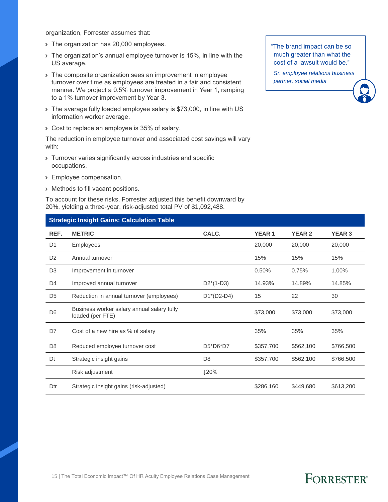organization, Forrester assumes that:

- › The organization has 20,000 employees.
- › The organization's annual employee turnover is 15%, in line with the US average.
- If The composite organization sees an improvement in employee turnover over time as employees are treated in a fair and consistent manner. We project a 0.5% turnover improvement in Year 1, ramping to a 1% turnover improvement by Year 3.
- › The average fully loaded employee salary is \$73,000, in line with US information worker average.
- › Cost to replace an employee is 35% of salary.

The reduction in employee turnover and associated cost savings will vary with:

- › Turnover varies significantly across industries and specific occupations.
- › Employee compensation.
- › Methods to fill vacant positions.

To account for these risks, Forrester adjusted this benefit downward by 20%, yielding a three-year, risk-adjusted total PV of \$1,092,488.

#### **Strategic Insight Gains: Calculation Table**

| REF.           | <b>METRIC</b>                                                  | CALC.          | <b>YEAR1</b> | <b>YEAR 2</b> | <b>YEAR 3</b> |
|----------------|----------------------------------------------------------------|----------------|--------------|---------------|---------------|
| D <sub>1</sub> | Employees                                                      |                | 20,000       | 20,000        | 20,000        |
| D <sub>2</sub> | Annual turnover                                                |                | 15%          | 15%           | 15%           |
| D <sub>3</sub> | Improvement in turnover                                        |                | 0.50%        | 0.75%         | 1.00%         |
| D4             | Improved annual turnover                                       | $D2*(1-D3)$    | 14.93%       | 14.89%        | 14.85%        |
| D <sub>5</sub> | Reduction in annual turnover (employees)                       | $D1*(D2-D4)$   | 15           | 22            | 30            |
| D <sub>6</sub> | Business worker salary annual salary fully<br>loaded (per FTE) |                | \$73,000     | \$73,000      | \$73,000      |
| D7             | Cost of a new hire as % of salary                              |                | 35%          | 35%           | 35%           |
| D <sub>8</sub> | Reduced employee turnover cost                                 | D5*D6*D7       | \$357,700    | \$562,100     | \$766,500     |
| Dt             | Strategic insight gains                                        | D <sub>8</sub> | \$357,700    | \$562,100     | \$766,500     |
|                | Risk adjustment                                                | ↓20%           |              |               |               |
| Dtr            | Strategic insight gains (risk-adjusted)                        |                | \$286,160    | \$449,680     | \$613,200     |

#### "The brand impact can be so much greater than what the cost of a lawsuit would be."

*Sr. employee relations business partner, social media*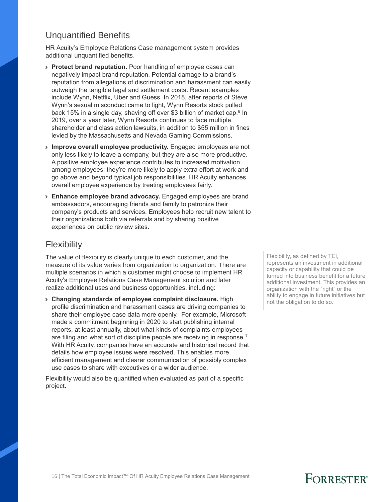#### Unquantified Benefits

HR Acuity's Employee Relations Case management system provides additional unquantified benefits.

- › **Protect brand reputation.** Poor handling of employee cases can negatively impact brand reputation. Potential damage to a brand's reputation from allegations of discrimination and harassment can easily outweigh the tangible legal and settlement costs. Recent examples include Wynn, Netflix, Uber and Guess. In 2018, after reports of Steve Wynn's sexual misconduct came to light, Wynn Resorts stock pulled back 15% in a single day, shaving off over \$3 billion of market cap.<sup>6</sup> In 2019, over a year later, Wynn Resorts continues to face multiple shareholder and class action lawsuits, in addition to \$55 million in fines levied by the Massachusetts and Nevada Gaming Commissions.
- › **Improve overall employee productivity.** Engaged employees are not only less likely to leave a company, but they are also more productive. A positive employee experience contributes to increased motivation among employees; they're more likely to apply extra effort at work and go above and beyond typical job responsibilities. HR Acuity enhances overall employee experience by treating employees fairly.
- › **Enhance employee brand advocacy.** Engaged employees are brand ambassadors, encouraging friends and family to patronize their company's products and services. Employees help recruit new talent to their organizations both via referrals and by sharing positive experiences on public review sites.

#### **Flexibility**

The value of flexibility is clearly unique to each customer, and the measure of its value varies from organization to organization. There are multiple scenarios in which a customer might choose to implement HR Acuity's Employee Relations Case Management solution and later realize additional uses and business opportunities, including:

› **Changing standards of employee complaint disclosure.** High profile discrimination and harassment cases are driving companies to share their employee case data more openly. For example, Microsoft made a commitment beginning in 2020 to start publishing internal reports, at least annually, about what kinds of complaints employees are filing and what sort of discipline people are receiving in response. 7 With HR Acuity, companies have an accurate and historical record that details how employee issues were resolved. This enables more efficient management and clearer communication of possibly complex use cases to share with executives or a wider audience.

Flexibility would also be quantified when evaluated as part of a specific project.

Flexibility, as defined by TEI, represents an investment in additional capacity or capability that could be turned into business benefit for a future additional investment. This provides an organization with the "right" or the ability to engage in future initiatives but not the obligation to do so.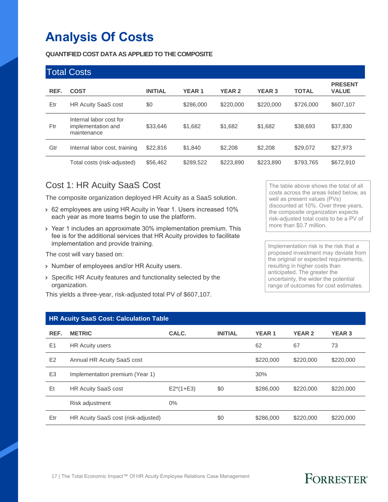# **Analysis Of Costs**

#### **QUANTIFIED COST DATA AS APPLIED TO THE COMPOSITE**

|      | <b>Total Costs</b>                                           |                |              |               |               |              |                                |
|------|--------------------------------------------------------------|----------------|--------------|---------------|---------------|--------------|--------------------------------|
| REF. | <b>COST</b>                                                  | <b>INITIAL</b> | <b>YEAR1</b> | <b>YEAR 2</b> | <b>YEAR 3</b> | <b>TOTAL</b> | <b>PRESENT</b><br><b>VALUE</b> |
| Etr  | <b>HR Acuity SaaS cost</b>                                   | \$0            | \$286,000    | \$220,000     | \$220,000     | \$726,000    | \$607,107                      |
| Ftr  | Internal labor cost for<br>implementation and<br>maintenance | \$33,646       | \$1,682      | \$1,682       | \$1,682       | \$38,693     | \$37,830                       |
| Gtr  | Internal labor cost, training                                | \$22,816       | \$1,840      | \$2,208       | \$2,208       | \$29,072     | \$27,973                       |
|      | Total costs (risk-adjusted)                                  | \$56,462       | \$289,522    | \$223,890     | \$223,890     | \$793,765    | \$672,910                      |

#### Cost 1: HR Acuity SaaS Cost

The composite organization deployed HR Acuity as a SaaS solution.

- › 62 employees are using HR Acuity in Year 1. Users increased 10% each year as more teams begin to use the platform.
- › Year 1 includes an approximate 30% implementation premium. This fee is for the additional services that HR Acuity provides to facilitate implementation and provide training.

The cost will vary based on:

- › Number of employees and/or HR Acuity users.
- › Specific HR Acuity features and functionality selected by the organization.

This yields a three-year, risk-adjusted total PV of \$607,107.

The table above shows the total of all costs across the areas listed below, as well as present values (PVs) discounted at 10%. Over three years, the composite organization expects risk-adjusted total costs to be a PV of more than \$0.7 million.

Implementation risk is the risk that a proposed investment may deviate from the original or expected requirements, resulting in higher costs than anticipated. The greater the uncertainty, the wider the potential range of outcomes for cost estimates.

#### **HR Acuity SaaS Cost: Calculation Table**

| REF.           | <b>METRIC</b>                       | CALC.       | <b>INITIAL</b> | <b>YEAR1</b> | <b>YEAR 2</b> | <b>YEAR 3</b> |
|----------------|-------------------------------------|-------------|----------------|--------------|---------------|---------------|
| E1             | <b>HR Aculty users</b>              |             |                | 62           | 67            | 73            |
| E2             | Annual HR Acuity SaaS cost          |             |                | \$220,000    | \$220,000     | \$220,000     |
| E <sub>3</sub> | Implementation premium (Year 1)     |             |                | 30%          |               |               |
| Et             | <b>HR Acuity SaaS cost</b>          | $E2*(1+E3)$ | \$0            | \$286,000    | \$220,000     | \$220,000     |
|                | Risk adjustment                     | $0\%$       |                |              |               |               |
| Etr            | HR Acuity SaaS cost (risk-adjusted) |             | \$0            | \$286,000    | \$220,000     | \$220,000     |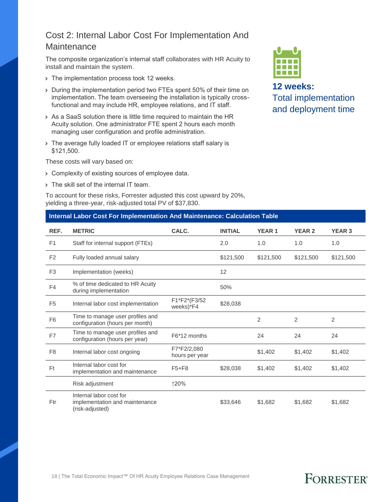#### Cost 2: Internal Labor Cost For Implementation And **Maintenance**

The composite organization's internal staff collaborates with HR Acuity to install and maintain the system.

- > The implementation process took 12 weeks.
- › During the implementation period two FTEs spent 50% of their time on implementation. The team overseeing the installation is typically crossfunctional and may include HR, employee relations, and IT staff.
- › As a SaaS solution there is little time required to maintain the HR Acuity solution. One administrator FTE spent 2 hours each month managing user configuration and profile administration.
- › The average fully loaded IT or employee relations staff salary is \$121,500.

These costs will vary based on:

- › Complexity of existing sources of employee data.
- › The skill set of the internal IT team.

To account for these risks, Forrester adjusted this cost upward by 20%, yielding a three-year, risk-adjusted total PV of \$37,830.

#### **Internal Labor Cost For Implementation And Maintenance: Calculation Table**

**12 weeks:** Total implementation and deployment time

| REF.           | <b>METRIC</b>                                                                | CALC.                         | <b>INITIAL</b> | <b>YEAR1</b> | <b>YEAR 2</b> | <b>YEAR 3</b> |
|----------------|------------------------------------------------------------------------------|-------------------------------|----------------|--------------|---------------|---------------|
| F <sub>1</sub> | Staff for internal support (FTEs)                                            |                               | 2.0            | 1.0          | 1.0           | 1.0           |
| F <sub>2</sub> | Fully loaded annual salary                                                   |                               | \$121,500      | \$121,500    | \$121,500     | \$121,500     |
| F <sub>3</sub> | Implementation (weeks)                                                       |                               | 12             |              |               |               |
| F4             | % of time dedicated to HR Acuity<br>during implementation                    |                               | 50%            |              |               |               |
| F <sub>5</sub> | Internal labor cost implementation                                           | F1*F2*(F3/52<br>weeks)*F4     | \$28,038       |              |               |               |
| F <sub>6</sub> | Time to manage user profiles and<br>configuration (hours per month)          |                               |                | 2            | 2             | 2             |
| F7             | Time to manage user profiles and<br>configuration (hours per year)           | F6*12 months                  |                | 24           | 24            | 24            |
| F <sub>8</sub> | Internal labor cost ongoing                                                  | F7*F2/2,080<br>hours per year |                | \$1,402      | \$1,402       | \$1,402       |
| Ft             | Internal labor cost for<br>implementation and maintenance                    | $F5 + F8$                     | \$28,038       | \$1,402      | \$1,402       | \$1,402       |
|                | Risk adjustment                                                              | ↑20%                          |                |              |               |               |
| Ftr            | Internal labor cost for<br>implementation and maintenance<br>(risk-adjusted) |                               | \$33,646       | \$1,682      | \$1,682       | \$1,682       |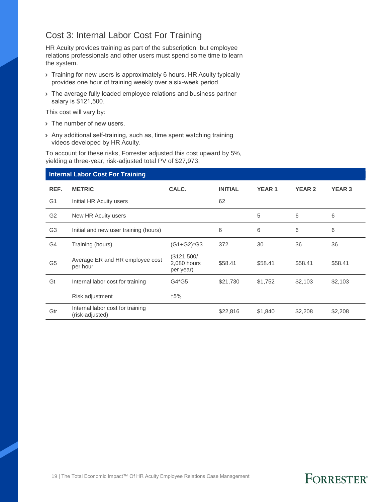#### Cost 3: Internal Labor Cost For Training

HR Acuity provides training as part of the subscription, but employee relations professionals and other users must spend some time to learn the system.

- › Training for new users is approximately 6 hours. HR Acuity typically provides one hour of training weekly over a six-week period.
- › The average fully loaded employee relations and business partner salary is \$121,500.

This cost will vary by:

- › The number of new users.
- › Any additional self-training, such as, time spent watching training videos developed by HR Acuity.

To account for these risks, Forrester adjusted this cost upward by 5%, yielding a three-year, risk-adjusted total PV of \$27,973.

#### **Internal Labor Cost For Training**

| REF.           | <b>METRIC</b>                                       | CALC.                                   | <b>INITIAL</b> | <b>YEAR1</b> | <b>YEAR 2</b> | <b>YEAR 3</b> |
|----------------|-----------------------------------------------------|-----------------------------------------|----------------|--------------|---------------|---------------|
| G <sub>1</sub> | Initial HR Acuity users                             |                                         | 62             |              |               |               |
| G <sub>2</sub> | New HR Acuity users                                 |                                         |                | 5            | 6             | 6             |
| G <sub>3</sub> | Initial and new user training (hours)               |                                         | 6              | 6            | 6             | 6             |
| G4             | Training (hours)                                    | $(G1+G2)*G3$                            | 372            | 30           | 36            | 36            |
| G <sub>5</sub> | Average ER and HR employee cost<br>per hour         | (\$121,500/<br>2,080 hours<br>per year) | \$58.41        | \$58.41      | \$58.41       | \$58.41       |
| Gt             | Internal labor cost for training                    | G4*G5                                   | \$21,730       | \$1,752      | \$2,103       | \$2,103       |
|                | Risk adjustment                                     | ↑5%                                     |                |              |               |               |
| Gtr            | Internal labor cost for training<br>(risk-adjusted) |                                         | \$22,816       | \$1,840      | \$2,208       | \$2,208       |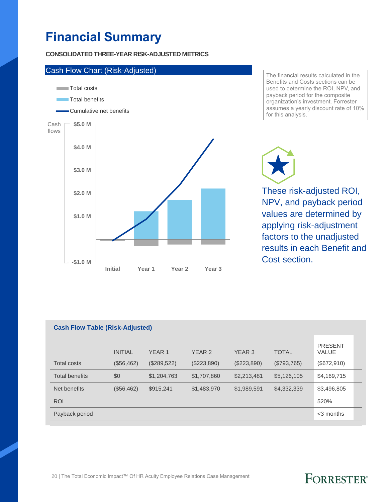# **Financial Summary**

#### **CONSOLIDATED THREE-YEAR RISK-ADJUSTED METRICS**



The financial results calculated in the Benefits and Costs sections can be used to determine the ROI, NPV, and payback period for the composite organization's investment. Forrester assumes a yearly discount rate of 10% for this analysis.

These risk-adjusted ROI, NPV, and payback period values are determined by applying risk-adjustment factors to the unadjusted results in each Benefit and Cost section.

| <b>Cash Flow Table (Risk-Adjusted)</b> |                |               |             |             |              |                                |  |  |
|----------------------------------------|----------------|---------------|-------------|-------------|--------------|--------------------------------|--|--|
|                                        | <b>INITIAL</b> | <b>YEAR 1</b> | YEAR 2      | YEAR 3      | <b>TOTAL</b> | <b>PRESENT</b><br><b>VALUE</b> |  |  |
| Total costs                            | (\$56,462)     | (\$289,522)   | (\$223,890) | (\$223,890) | (S793, 765)  | (\$672,910)                    |  |  |
| <b>Total benefits</b>                  | \$0            | \$1,204,763   | \$1,707,860 | \$2,213,481 | \$5,126,105  | \$4,169,715                    |  |  |
| Net benefits                           | (\$56,462)     | \$915,241     | \$1,483,970 | \$1,989,591 | \$4,332,339  | \$3,496,805                    |  |  |
| <b>ROI</b>                             |                |               |             |             |              | 520%                           |  |  |
| Payback period                         |                |               |             |             |              | $<$ 3 months                   |  |  |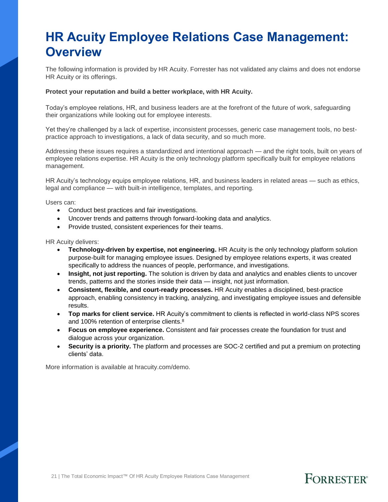# **HR Acuity Employee Relations Case Management: Overview**

The following information is provided by HR Acuity. Forrester has not validated any claims and does not endorse HR Acuity or its offerings.

#### **Protect your reputation and build a better workplace, with HR Acuity.**

Today's employee relations, HR, and business leaders are at the forefront of the future of work, safeguarding their organizations while looking out for employee interests.

Yet they're challenged by a lack of expertise, inconsistent processes, generic case management tools, no bestpractice approach to investigations, a lack of data security, and so much more.

Addressing these issues requires a standardized and intentional approach — and the right tools, built on years of employee relations expertise. HR Acuity is the only technology platform specifically built for employee relations management.

HR Acuity's technology equips employee relations, HR, and business leaders in related areas — such as ethics, legal and compliance — with built-in intelligence, templates, and reporting.

Users can:

- Conduct best practices and fair investigations.
- Uncover trends and patterns through forward-looking data and analytics.
- Provide trusted, consistent experiences for their teams.

HR Acuity delivers:

- **Technology-driven by expertise, not engineering.** HR Acuity is the only technology platform solution purpose-built for managing employee issues. Designed by employee relations experts, it was created specifically to address the nuances of people, performance, and investigations.
- **Insight, not just reporting.** The solution is driven by data and analytics and enables clients to uncover trends, patterns and the stories inside their data — insight, not just information.
- **Consistent, flexible, and court-ready processes.** HR Acuity enables a disciplined, best-practice approach, enabling consistency in tracking, analyzing, and investigating employee issues and defensible results.
- **Top marks for client service.** HR Acuity's commitment to clients is reflected in world-class NPS scores and 100% retention of enterprise clients.<sup>8</sup>
- **Focus on employee experience.** Consistent and fair processes create the foundation for trust and dialogue across your organization.
- **Security is a priority.** The platform and processes are SOC-2 certified and put a premium on protecting clients' data.

**FORRESTER®** 

More information is available at hracuity.com/demo.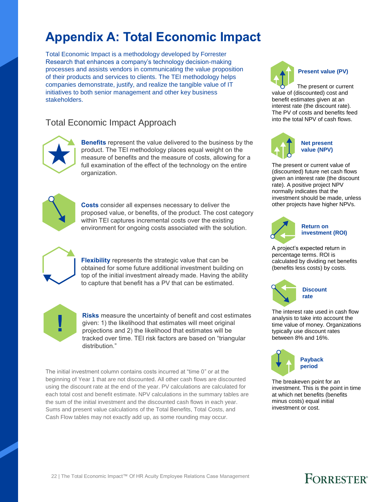# **Appendix A: Total Economic Impact**

Total Economic Impact is a methodology developed by Forrester Research that enhances a company's technology decision-making processes and assists vendors in communicating the value proposition of their products and services to clients. The TEI methodology helps companies demonstrate, justify, and realize the tangible value of IT initiatives to both senior management and other key business stakeholders.

#### Total Economic Impact Approach



**Benefits** represent the value delivered to the business by the product. The TEI methodology places equal weight on the measure of benefits and the measure of costs, allowing for a full examination of the effect of the technology on the entire organization.



**Costs** consider all expenses necessary to deliver the proposed value, or benefits, of the product. The cost category within TEI captures incremental costs over the existing environment for ongoing costs associated with the solution.



**Flexibility** represents the strategic value that can be obtained for some future additional investment building on top of the initial investment already made. Having the ability to capture that benefit has a PV that can be estimated.



**Risks** measure the uncertainty of benefit and cost estimates given: 1) the likelihood that estimates will meet original projections and 2) the likelihood that estimates will be tracked over time. TEI risk factors are based on "triangular distribution."

The initial investment column contains costs incurred at "time 0" or at the beginning of Year 1 that are not discounted. All other cash flows are discounted using the discount rate at the end of the year. PV calculations are calculated for each total cost and benefit estimate. NPV calculations in the summary tables are the sum of the initial investment and the discounted cash flows in each year. Sums and present value calculations of the Total Benefits, Total Costs, and Cash Flow tables may not exactly add up, as some rounding may occur.



The present or current value of (discounted) cost and benefit estimates given at an interest rate (the discount rate). The PV of costs and benefits feed into the total NPV of cash flows.



The present or current value of (discounted) future net cash flows given an interest rate (the discount rate). A positive project NPV normally indicates that the investment should be made, unless other projects have higher NPVs.



#### **Return on investment (ROI)**

A project's expected return in percentage terms. ROI is calculated by dividing net benefits (benefits less costs) by costs.



The interest rate used in cash flow analysis to take into account the time value of money. Organizations typically use discount rates between 8% and 16%.



The breakeven point for an investment. This is the point in time at which net benefits (benefits minus costs) equal initial investment or cost.